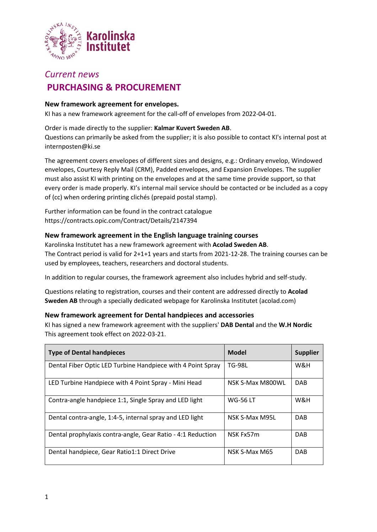

# *Current news*

## **PURCHASING & PROCUREMENT**

## **New framework agreement for envelopes.**

KI has a new framework agreement for the call-off of envelopes from 2022-04-01.

#### Order is made directly to the supplier: **Kalmar Kuvert Sweden AB**.

Questions can primarily be asked from the supplier; it is also possible to contact KI's internal post at internposten@ki.se

The agreement covers envelopes of different sizes and designs, e.g.: Ordinary envelop, Windowed envelopes, Courtesy Reply Mail (CRM), Padded envelopes, and Expansion Envelopes. The supplier must also assist KI with printing on the envelopes and at the same time provide support, so that every order is made properly. KI's internal mail service should be contacted or be included as a copy of (cc) when ordering printing clichés (prepaid postal stamp).

Further information can be found in the contract catalogue https://contracts.opic.com/Contract/Details/2147394

## **New framework agreement in the English language training courses**

Karolinska Institutet has a new framework agreement with **Acolad Sweden AB**. The Contract period is valid for 2+1+1 years and starts from 2021-12-28. The training courses can be used by employees, teachers, researchers and doctoral students.

In addition to regular courses, the framework agreement also includes hybrid and self-study.

Questions relating to registration, courses and their content are addressed directly to **Acolad Sweden AB** through a specially dedicated webpage for Karolinska Institutet (acolad.com)

## **New framework agreement for Dental handpieces and accessories**

KI has signed a new framework agreement with the suppliers' **DAB Dental** and the **W.H Nordic** This agreement took effect on 2022-03-21.

| <b>Type of Dental handpieces</b>                            | Model            | <b>Supplier</b> |
|-------------------------------------------------------------|------------------|-----------------|
| Dental Fiber Optic LED Turbine Handpiece with 4 Point Spray | <b>TG-98L</b>    | W&H             |
| LED Turbine Handpiece with 4 Point Spray - Mini Head        | NSK S-Max M800WL | <b>DAB</b>      |
| Contra-angle handpiece 1:1, Single Spray and LED light      | <b>WG-56 LT</b>  | W&H             |
| Dental contra-angle, 1:4-5, internal spray and LED light    | NSK S-Max M95L   | <b>DAB</b>      |
| Dental prophylaxis contra-angle, Gear Ratio - 4:1 Reduction | NSK Fx57m        | <b>DAB</b>      |
| Dental handpiece, Gear Ratio1:1 Direct Drive                | NSK S-Max M65    | <b>DAB</b>      |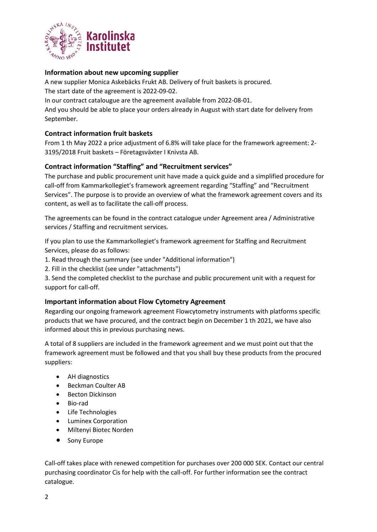

## **Information about new upcoming supplier**

A new supplier Monica Askebäcks Frukt AB. Delivery of fruit baskets is procured.

The start date of the agreement is 2022-09-02.

In our contract catalougue are the agreement available from 2022-08-01.

And you should be able to place your orders already in August with start date for delivery from September.

## **Contract information fruit baskets**

From 1 th May 2022 a price adjustment of 6.8% will take place for the framework agreement: 2- 3195/2018 Fruit baskets – Företagsväxter I Knivsta AB.

## **Contract information "Staffing" and "Recruitment services"**

The purchase and public procurement unit have made a quick guide and a simplified procedure for call-off from Kammarkollegiet's framework agreement regarding "Staffing" and "Recruitment Services". The purpose is to provide an overview of what the framework agreement covers and its content, as well as to facilitate the call-off process.

The agreements can be found in the contract catalogue under Agreement area / Administrative services / Staffing and recruitment services.

If you plan to use the Kammarkollegiet's framework agreement for Staffing and Recruitment Services, please do as follows:

- 1. Read through the summary (see under "Additional information")
- 2. Fill in the checklist (see under "attachments")

3. Send the completed checklist to the purchase and public procurement unit with a request for support for call-off.

#### **Important information about Flow Cytometry Agreement**

Regarding our ongoing framework agreement Flowcytometry instruments with platforms specific products that we have procured, and the contract begin on December 1 th 2021, we have also informed about this in previous purchasing news.

A total of 8 suppliers are included in the framework agreement and we must point out that the framework agreement must be followed and that you shall buy these products from the procured suppliers:

- AH diagnostics
- Beckman Coulter AB
- Becton Dickinson
- Bio-rad
- Life Technologies
- Luminex Corporation
- Miltenyi Biotec Norden
- Sony Europe

Call-off takes place with renewed competition for purchases over 200 000 SEK. Contact our central purchasing coordinator Cis for help with the call-off. For further information see the contract catalogue.